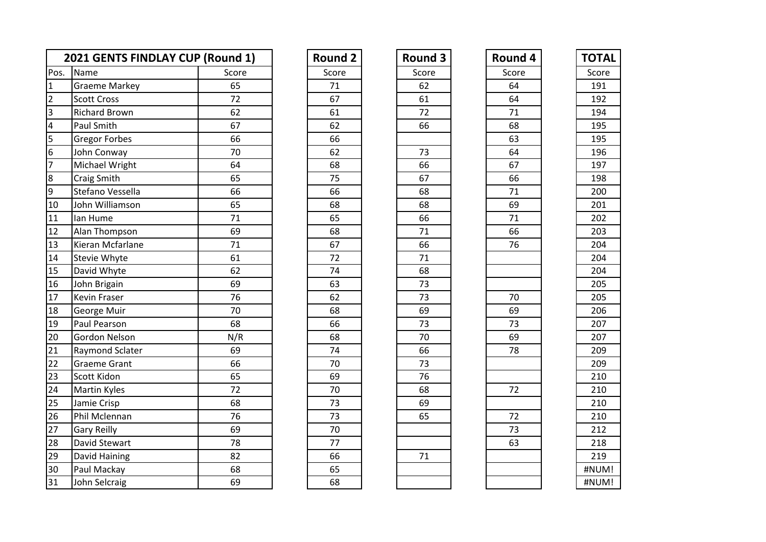|                         | 2021 GENTS FINDLAY CUP (Round 1) |       | <b>Round 2</b> | <b>Round 3</b> | Round 4 | <b>TOTAI</b> |
|-------------------------|----------------------------------|-------|----------------|----------------|---------|--------------|
| Pos.                    | Name                             | Score | Score          | Score          | Score   | Score        |
| $\overline{1}$          | <b>Graeme Markey</b>             | 65    | 71             | 62             | 64      | 191          |
| $\overline{c}$          | <b>Scott Cross</b>               | 72    | 67             | 61             | 64      | 192          |
| $\vert$ 3               | <b>Richard Brown</b>             | 62    | 61             | 72             | 71      | 194          |
| $\overline{\mathbf{4}}$ | Paul Smith                       | 67    | 62             | 66             | 68      | 195          |
| $\overline{5}$          | <b>Gregor Forbes</b>             | 66    | 66             |                | 63      | 195          |
| $6\overline{6}$         | John Conway                      | 70    | 62             | 73             | 64      | 196          |
| $\overline{7}$          | Michael Wright                   | 64    | 68             | 66             | 67      | 197          |
| $\overline{8}$          | Craig Smith                      | 65    | 75             | 67             | 66      | 198          |
| 9                       | Stefano Vessella                 | 66    | 66             | 68             | 71      | 200          |
| 10                      | John Williamson                  | 65    | 68             | 68             | 69      | 201          |
| 11                      | lan Hume                         | 71    | 65             | 66             | 71      | 202          |
| 12                      | Alan Thompson                    | 69    | 68             | 71             | 66      | 203          |
| 13                      | Kieran Mcfarlane                 | 71    | 67             | 66             | 76      | 204          |
| 14                      | Stevie Whyte                     | 61    | 72             | 71             |         | 204          |
| 15                      | David Whyte                      | 62    | 74             | 68             |         | 204          |
| 16                      | John Brigain                     | 69    | 63             | 73             |         | 205          |
| 17                      | <b>Kevin Fraser</b>              | 76    | 62             | 73             | 70      | 205          |
| 18                      | George Muir                      | 70    | 68             | 69             | 69      | 206          |
| 19                      | Paul Pearson                     | 68    | 66             | 73             | 73      | 207          |
| 20                      | Gordon Nelson                    | N/R   | 68             | 70             | 69      | 207          |
| 21                      | Raymond Sclater                  | 69    | 74             | 66             | 78      | 209          |
| 22                      | <b>Graeme Grant</b>              | 66    | 70             | 73             |         | 209          |
| 23                      | Scott Kidon                      | 65    | 69             | 76             |         | 210          |
| 24                      | <b>Martin Kyles</b>              | 72    | 70             | 68             | 72      | 210          |
| 25                      | Jamie Crisp                      | 68    | 73             | 69             |         | 210          |
| 26                      | Phil Mclennan                    | 76    | 73             | 65             | 72      | 210          |
| 27                      | <b>Gary Reilly</b>               | 69    | 70             |                | 73      | 212          |
| 28                      | David Stewart                    | 78    | 77             |                | 63      | 218          |
| 29                      | David Haining                    | 82    | 66             | 71             |         | 219          |
| 30                      | Paul Mackay                      | 68    | 65             |                |         | #NUM!        |
| 31                      | John Selcraig                    | 69    | 68             |                |         | #NUM!        |

| <b>Round 2</b>  |
|-----------------|
| Score           |
| 71              |
| 67              |
| 61              |
| 62              |
| 66              |
| 62              |
| 68              |
| 75              |
| 66              |
| 68              |
| 65              |
| 68              |
| 67              |
| $\overline{72}$ |
| 74              |
| 63              |
| 62              |
| 68              |
| 66              |
| 68              |
| 74              |
| 70              |
| 69              |
| 70              |
| $\overline{73}$ |
| 73              |
| 70              |
| 77              |
| 66              |
| 65              |
| 68              |

| <b>Round 3</b>  |
|-----------------|
| Score           |
| 62              |
| 61              |
| 72              |
| 66              |
|                 |
| 73              |
| 66              |
| -<br>67         |
| $\overline{68}$ |
| 68              |
| 66              |
| 71              |
| 66              |
| $\overline{71}$ |
| 68              |
| 73              |
| 73              |
| 69              |
| 73              |
| 70              |
| 66              |
| 73              |
| 76              |
| 68              |
| 69              |
| 65              |
|                 |
|                 |
| $7\overline{1}$ |
|                 |
|                 |

| <b>Round 3</b><br>Round 4<br><b>Round 2</b><br>Score<br>Score<br>Score<br>71<br>62<br>64<br>67<br>61<br>64<br>72<br>61<br>71<br>62<br>66<br>68<br>66<br>63<br>62<br>73<br>64<br>67<br>68<br>66<br>75<br>66<br>67<br>66<br>68<br>71 | <b>TOTAL</b><br>Score<br>191<br>192<br>194<br>195<br>195<br>196<br>197<br>198<br>200 |
|------------------------------------------------------------------------------------------------------------------------------------------------------------------------------------------------------------------------------------|--------------------------------------------------------------------------------------|
|                                                                                                                                                                                                                                    |                                                                                      |
|                                                                                                                                                                                                                                    |                                                                                      |
|                                                                                                                                                                                                                                    |                                                                                      |
|                                                                                                                                                                                                                                    |                                                                                      |
|                                                                                                                                                                                                                                    |                                                                                      |
|                                                                                                                                                                                                                                    |                                                                                      |
|                                                                                                                                                                                                                                    |                                                                                      |
|                                                                                                                                                                                                                                    |                                                                                      |
|                                                                                                                                                                                                                                    |                                                                                      |
|                                                                                                                                                                                                                                    |                                                                                      |
|                                                                                                                                                                                                                                    |                                                                                      |
| 68<br>68<br>69                                                                                                                                                                                                                     | 201                                                                                  |
| 65<br>71<br>66                                                                                                                                                                                                                     | 202                                                                                  |
| 68<br>66<br>71                                                                                                                                                                                                                     | 203                                                                                  |
| 67<br>66<br>76                                                                                                                                                                                                                     | 204                                                                                  |
| 72<br>71                                                                                                                                                                                                                           | 204                                                                                  |
| 74<br>68                                                                                                                                                                                                                           | 204                                                                                  |
| 63<br>73                                                                                                                                                                                                                           | 205                                                                                  |
| 62<br>73<br>70                                                                                                                                                                                                                     | 205                                                                                  |
| 69<br>69<br>68                                                                                                                                                                                                                     | 206                                                                                  |
| 66<br>73<br>73                                                                                                                                                                                                                     | 207                                                                                  |
| 69<br>68<br>70                                                                                                                                                                                                                     | 207                                                                                  |
| 74<br>66<br>78                                                                                                                                                                                                                     | 209                                                                                  |
| 70<br>73                                                                                                                                                                                                                           | 209                                                                                  |
| 69<br>76                                                                                                                                                                                                                           | 210                                                                                  |
| 70<br>68<br>72                                                                                                                                                                                                                     | 210                                                                                  |
| 73<br>69                                                                                                                                                                                                                           | 210                                                                                  |
| 72<br>73<br>65                                                                                                                                                                                                                     | 210                                                                                  |
| 70<br>73                                                                                                                                                                                                                           | 212                                                                                  |
| 77<br>63                                                                                                                                                                                                                           | 218                                                                                  |
| 66<br>71                                                                                                                                                                                                                           | 219                                                                                  |
| 65                                                                                                                                                                                                                                 | #NUM!                                                                                |
| 68                                                                                                                                                                                                                                 | #NUM!                                                                                |

| ΤΟΤΑΙ |
|-------|
| Score |
| 191   |
| 192   |
| 194   |
| 195   |
| 195   |
| 196   |
| 197   |
| 198   |
| 200   |
| 201   |
| 202   |
| 203   |
| 204   |
| 204   |
| 204   |
| 205   |
| 205   |
| 206   |
| 207   |
| 207   |
| 209   |
| 209   |
| 210   |
| 210   |
| 210   |
| 210   |
| 212   |
| 218   |
| 219   |
| #NUM! |
| #NUM! |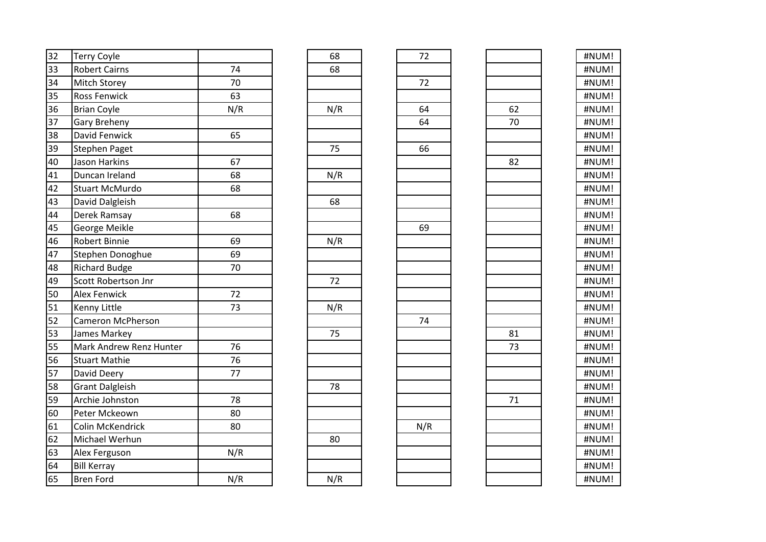| 32 | <b>Terry Coyle</b>       |     | 68  | 72  |    | #NUM! |
|----|--------------------------|-----|-----|-----|----|-------|
| 33 | <b>Robert Cairns</b>     | 74  | 68  |     |    | #NUM! |
| 34 | <b>Mitch Storey</b>      | 70  |     | 72  |    | #NUM! |
| 35 | <b>Ross Fenwick</b>      | 63  |     |     |    | #NUM! |
| 36 | <b>Brian Coyle</b>       | N/R | N/R | 64  | 62 | #NUM! |
| 37 | <b>Gary Breheny</b>      |     |     | 64  | 70 | #NUM! |
| 38 | David Fenwick            | 65  |     |     |    | #NUM! |
| 39 | <b>Stephen Paget</b>     |     | 75  | 66  |    | #NUM! |
| 40 | Jason Harkins            | 67  |     |     | 82 | #NUM! |
| 41 | Duncan Ireland           | 68  | N/R |     |    | #NUM! |
| 42 | <b>Stuart McMurdo</b>    | 68  |     |     |    | #NUM! |
| 43 | David Dalgleish          |     | 68  |     |    | #NUM! |
| 44 | Derek Ramsay             | 68  |     |     |    | #NUM! |
| 45 | George Meikle            |     |     | 69  |    | #NUM! |
| 46 | <b>Robert Binnie</b>     | 69  | N/R |     |    | #NUM! |
| 47 | Stephen Donoghue         | 69  |     |     |    | #NUM! |
| 48 | <b>Richard Budge</b>     | 70  |     |     |    | #NUM! |
| 49 | Scott Robertson Jnr      |     | 72  |     |    | #NUM! |
| 50 | <b>Alex Fenwick</b>      | 72  |     |     |    | #NUM! |
| 51 | <b>Kenny Little</b>      | 73  | N/R |     |    | #NUM! |
| 52 | <b>Cameron McPherson</b> |     |     | 74  |    | #NUM! |
| 53 | James Markey             |     | 75  |     | 81 | #NUM! |
| 55 | Mark Andrew Renz Hunter  | 76  |     |     | 73 | #NUM! |
| 56 | <b>Stuart Mathie</b>     | 76  |     |     |    | #NUM! |
| 57 | David Deery              | 77  |     |     |    | #NUM! |
| 58 | <b>Grant Dalgleish</b>   |     | 78  |     |    | #NUM! |
| 59 | Archie Johnston          | 78  |     |     | 71 | #NUM! |
| 60 | Peter Mckeown            | 80  |     |     |    | #NUM! |
| 61 | Colin McKendrick         | 80  |     | N/R |    | #NUM! |
| 62 | Michael Werhun           |     | 80  |     |    | #NUM! |
| 63 | Alex Ferguson            | N/R |     |     |    | #NUM! |
| 64 | <b>Bill Kerray</b>       |     |     |     |    | #NUM! |
| 65 | <b>Bren Ford</b>         | N/R | N/R |     |    | #NUM! |

| 68               |
|------------------|
| 68               |
|                  |
|                  |
|                  |
| $\overline{N/R}$ |
|                  |
|                  |
| 75               |
|                  |
|                  |
| N/R              |
|                  |
| 68               |
|                  |
|                  |
|                  |
| N/R              |
|                  |
|                  |
| 72               |
|                  |
| N/R              |
|                  |
|                  |
| 75               |
|                  |
|                  |
|                  |
| 78               |
|                  |
|                  |
|                  |
|                  |
| 80               |
|                  |
|                  |
| N/R              |
|                  |

| $\frac{72}{ }$  |  |
|-----------------|--|
|                 |  |
| $\frac{1}{72}$  |  |
|                 |  |
| $\frac{64}{64}$ |  |
|                 |  |
|                 |  |
| $\overline{66}$ |  |
|                 |  |
|                 |  |
|                 |  |
|                 |  |
|                 |  |
| 69              |  |
|                 |  |
|                 |  |
|                 |  |
|                 |  |
|                 |  |
|                 |  |
| $\overline{74}$ |  |
|                 |  |
|                 |  |
|                 |  |
|                 |  |
|                 |  |
|                 |  |
|                 |  |
| N/R             |  |
|                 |  |
|                 |  |
|                 |  |
|                 |  |

| #NUM!     |
|-----------|
| #NUM!     |
| #NUM!     |
| #NUM!     |
| #NUM!     |
| I<br>#NUM |
| #NUM<br>I |
| #NUM<br>ļ |
| #NUM!     |
| #NUM!     |
| ļ<br>#NUM |
| #NUM!     |
| ļ<br>#NUM |
| ļ<br>#NUM |
| ı<br>#NUM |
| ļ<br>#NUM |
| #NUM!     |
| #NUM!     |
| #NUM!     |
| #NUM!     |
| #NUM!     |
| #NUM!     |
| #NUM<br>ı |
| #NUM<br>I |
| #NUM<br>Į |
| #NUM!     |
| I<br>#NUM |
| ı<br>#NUM |
| I<br>#NUM |
| ļ<br>#NUM |
| ı<br>#NUM |
| ı<br>#NUM |
| #NUM<br>I |
|           |